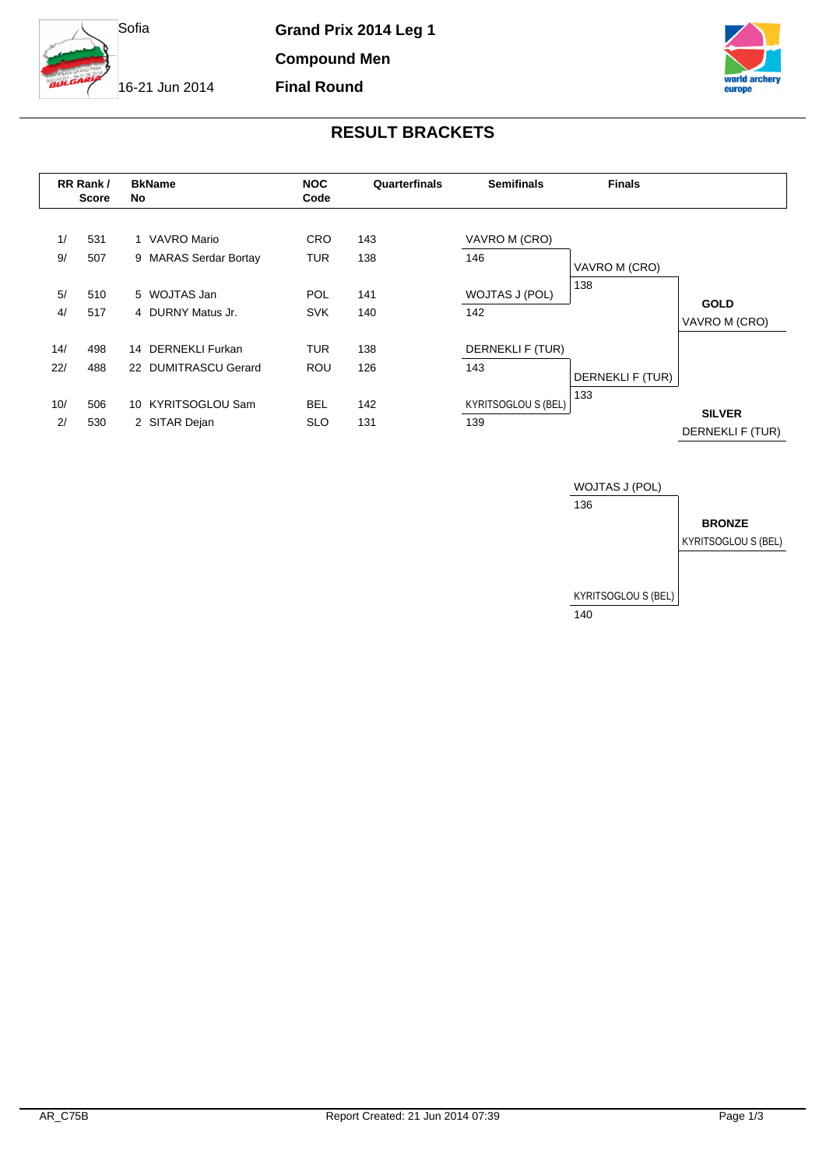

**Grand Prix 2014 Leg 1**

**Compound Men Final Round**

16-21 Jun 2014



## **RESULT BRACKETS**

|            | RR Rank/<br><b>Score</b> | <b>BkName</b><br>No.                       | <b>NOC</b><br>Code       | Quarterfinals | <b>Semifinals</b>                 | <b>Finals</b>    |                                   |
|------------|--------------------------|--------------------------------------------|--------------------------|---------------|-----------------------------------|------------------|-----------------------------------|
| 1/<br>9/   | 531<br>507               | 1 VAVRO Mario<br>9 MARAS Serdar Bortay     | <b>CRO</b><br><b>TUR</b> | 143<br>138    | VAVRO M (CRO)<br>146              | VAVRO M (CRO)    |                                   |
| 5/<br>4/   | 510<br>517               | 5 WOJTAS Jan<br>4 DURNY Matus Jr.          | <b>POL</b><br><b>SVK</b> | 141<br>140    | WOJTAS J (POL)<br>142             | 138              | <b>GOLD</b><br>VAVRO M (CRO)      |
| 14/<br>22/ | 498<br>488               | 14 DERNEKLI Furkan<br>22 DUMITRASCU Gerard | <b>TUR</b><br><b>ROU</b> | 138<br>126    | DERNEKLI F (TUR)<br>143           | DERNEKLI F (TUR) |                                   |
| 10/<br>2/  | 506<br>530               | 10 KYRITSOGLOU Sam<br>2 SITAR Dejan        | <b>BEL</b><br><b>SLO</b> | 142<br>131    | <b>KYRITSOGLOU S (BEL)</b><br>139 | 133              | <b>SILVER</b><br>DERNEKLI F (TUR) |

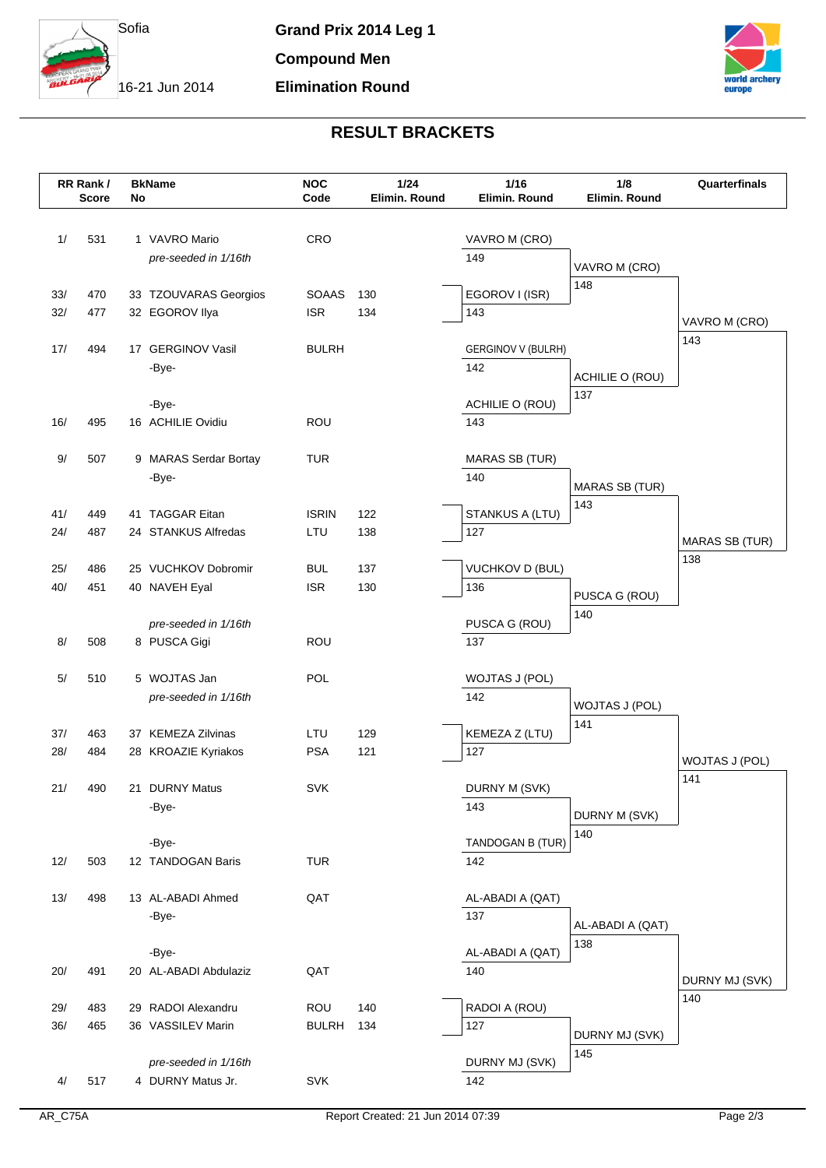

16-21 Jun 2014



## **RESULT BRACKETS**

|            | RR Rank /<br><b>Score</b> | No | <b>BkName</b>                        | <b>NOC</b><br>Code | 1/24<br>Elimin. Round | $1/16$<br>Elimin. Round   | 1/8<br>Elimin. Round         | Quarterfinals         |
|------------|---------------------------|----|--------------------------------------|--------------------|-----------------------|---------------------------|------------------------------|-----------------------|
|            |                           |    |                                      |                    |                       |                           |                              |                       |
| 1/         | 531                       |    | 1 VAVRO Mario                        | CRO                |                       | VAVRO M (CRO)             |                              |                       |
|            |                           |    | pre-seeded in 1/16th                 |                    |                       | 149                       | VAVRO M (CRO)                |                       |
|            |                           |    |                                      |                    |                       |                           | 148                          |                       |
| 33/        | 470                       |    | 33 TZOUVARAS Georgios                | <b>SOAAS</b>       | 130                   | EGOROV I (ISR)            |                              |                       |
| 32/        | 477                       |    | 32 EGOROV Ilya                       | <b>ISR</b>         | 134                   | 143                       |                              | VAVRO M (CRO)         |
| 17/        | 494                       |    | 17 GERGINOV Vasil                    | <b>BULRH</b>       |                       | <b>GERGINOV V (BULRH)</b> |                              | 143                   |
|            |                           |    | -Bye-                                |                    |                       | 142                       |                              |                       |
|            |                           |    |                                      |                    |                       |                           | ACHILIE O (ROU)<br>137       |                       |
|            |                           |    | -Bye-                                |                    |                       | ACHILIE O (ROU)           |                              |                       |
| 16/        | 495                       |    | 16 ACHILIE Ovidiu                    | <b>ROU</b>         |                       | 143                       |                              |                       |
| $9/$       | 507                       |    | 9 MARAS Serdar Bortay                | <b>TUR</b>         |                       | <b>MARAS SB (TUR)</b>     |                              |                       |
|            |                           |    | -Bye-                                |                    |                       | 140                       |                              |                       |
|            |                           |    |                                      |                    |                       |                           | <b>MARAS SB (TUR)</b><br>143 |                       |
| 41/        | 449                       |    | 41 TAGGAR Eitan                      | <b>ISRIN</b>       | 122                   | STANKUS A (LTU)           |                              |                       |
| 24/        | 487                       |    | 24 STANKUS Alfredas                  | LTU                | 138                   | 127                       |                              | <b>MARAS SB (TUR)</b> |
|            |                           |    |                                      |                    |                       | <b>VUCHKOV D (BUL)</b>    |                              | 138                   |
| 25/<br>40/ | 486<br>451                |    | 25 VUCHKOV Dobromir<br>40 NAVEH Eyal | BUL<br><b>ISR</b>  | 137<br>130            | 136                       |                              |                       |
|            |                           |    |                                      |                    |                       |                           | PUSCA G (ROU)                |                       |
|            |                           |    | pre-seeded in 1/16th                 |                    |                       | PUSCA G (ROU)             | 140                          |                       |
| 8/         | 508                       |    | 8 PUSCA Gigi                         | <b>ROU</b>         |                       | 137                       |                              |                       |
|            |                           |    |                                      |                    |                       |                           |                              |                       |
| 5/         | 510                       |    | 5 WOJTAS Jan<br>pre-seeded in 1/16th | POL                |                       | WOJTAS J (POL)<br>142     |                              |                       |
|            |                           |    |                                      |                    |                       |                           | WOJTAS J (POL)               |                       |
| 37/        | 463                       |    | 37 KEMEZA Zilvinas                   | LTU                | 129                   | KEMEZA Z (LTU)            | 141                          |                       |
| 28/        | 484                       |    | 28 KROAZIE Kyriakos                  | <b>PSA</b>         | 121                   | 127                       |                              | WOJTAS J (POL)        |
|            |                           |    |                                      |                    |                       |                           |                              | 141                   |
| 21/        | 490                       |    | 21 DURNY Matus                       | <b>SVK</b>         |                       | DURNY M (SVK)             |                              |                       |
|            |                           |    | -Bye-                                |                    |                       | 143                       | DURNY M (SVK)                |                       |
|            |                           |    | -Bye-                                |                    |                       | TANDOGAN B (TUR)          | 140                          |                       |
| 12/        | 503                       |    | 12 TANDOGAN Baris                    | <b>TUR</b>         |                       | 142                       |                              |                       |
|            |                           |    |                                      |                    |                       |                           |                              |                       |
| 13/        | 498                       |    | 13 AL-ABADI Ahmed                    | QAT                |                       | AL-ABADI A (QAT)          |                              |                       |
|            |                           |    | -Bye-                                |                    |                       | 137                       | AL-ABADI A (QAT)             |                       |
|            |                           |    |                                      |                    |                       |                           | 138                          |                       |
| 20/        | 491                       |    | -Bye-<br>20 AL-ABADI Abdulaziz       | QAT                |                       | AL-ABADI A (QAT)<br>140   |                              |                       |
|            |                           |    |                                      |                    |                       |                           |                              | DURNY MJ (SVK)        |
| 29/        | 483                       |    | 29 RADOI Alexandru                   | ROU                | 140                   | RADOI A (ROU)             |                              | 140                   |
| 36/        | 465                       |    | 36 VASSILEV Marin                    | <b>BULRH</b>       | 134                   | 127                       | DURNY MJ (SVK)               |                       |
|            |                           |    |                                      |                    |                       |                           | 145                          |                       |
|            |                           |    | pre-seeded in 1/16th                 |                    |                       | DURNY MJ (SVK)            |                              |                       |
| 4/         | 517                       |    | 4 DURNY Matus Jr.                    | <b>SVK</b>         |                       | 142                       |                              |                       |